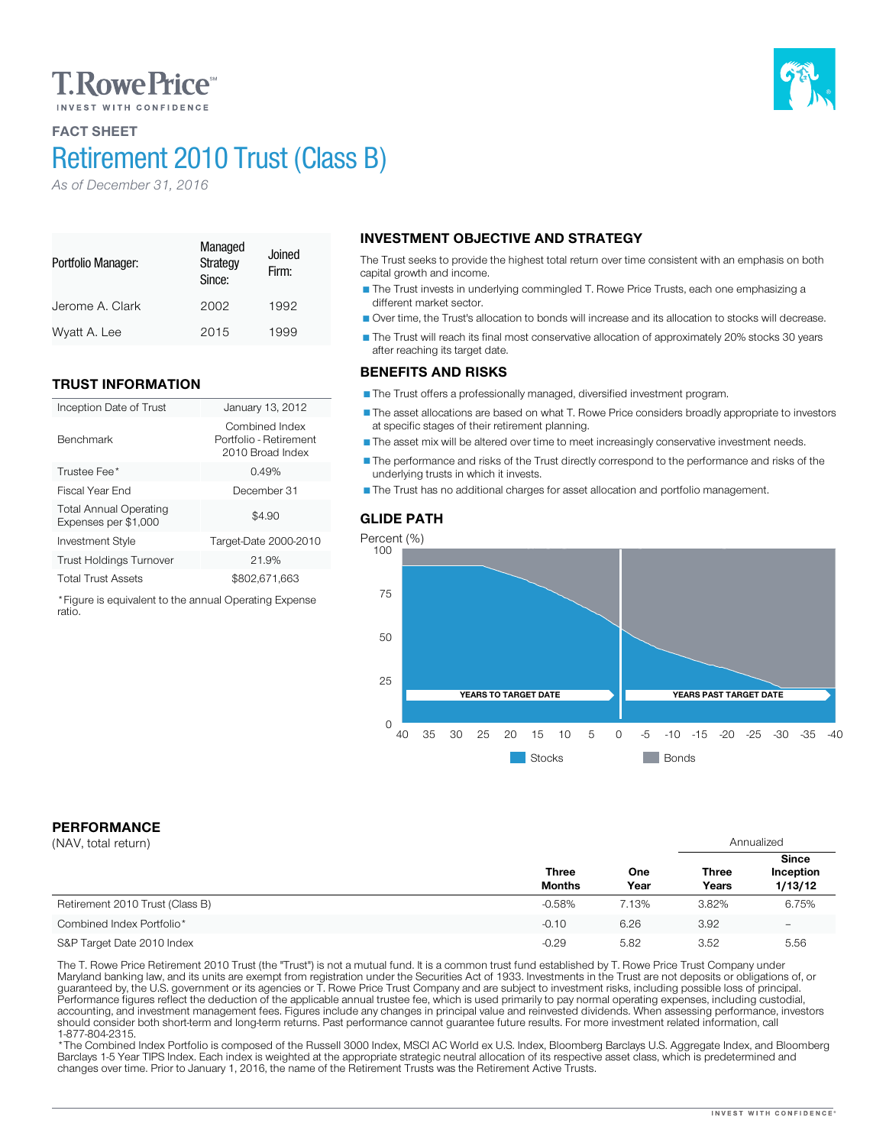# **T. Rowe Price**

## FACT SHEET Retirement 2010 Trust (Class B)

Jerome A. Clark 2002 1992 Wyatt A. Lee 2015 1999

Inception Date of Trust January 13, 2012

Investment Style Target-Date 2000-2010 Trust Holdings Turnover 21.9% Total Trust Assets \$802,671,663 \*Figure is equivalent to the annual Operating Expense

Trustee Fee<sup>\*</sup> 2.49% 3.49% 3.49% 3.5 and 3.49% 3.5 and 3.49% 3.5 and 3.49% 3.5 and 3.49% 3.5 and 3.49% 3.5 and 3.49% 3.5 and 3.49% 3.49% 3.49% 3.49% 3.49% 3.49% 3.49% 3.49% 3.49% 3.49% 3.49% 3.49% 3.49% 3.49% 3.49% 3.49% 3 Fiscal Year End December 31

Managed **Strategy** Since:

Firm:

Combined Index Portfolio - Retirement 2010 Broad Index

 $$4.90$ 

*As of December 31, 2016*

TRUST INFORMATION

Total Annual Operating Expenses per \$1,000

Portfolio Manager:

Benchmark

ratio.

#### INVESTMENT OBJECTIVE AND STRATEGY Joined

The Trust seeks to provide the highest total return over time consistent with an emphasis on both capital growth and income.

The Trust invests in underlying commingled T. Rowe Price Trusts, each one emphasizing a different market sector.

Over time, the Trust's allocation to bonds will increase and its allocation to stocks will decrease.

The Trust will reach its final most conservative allocation of approximately 20% stocks 30 years after reaching its target date.

### BENEFITS AND RISKS

The Trust offers a professionally managed, diversified investment program.

The asset allocations are based on what T. Rowe Price considers broadly appropriate to investors at specific stages of their retirement planning.

The asset mix will be altered over time to meet increasingly conservative investment needs.

The performance and risks of the Trust directly correspond to the performance and risks of the underlying trusts in which it invests.

The Trust has no additional charges for asset allocation and portfolio management.

### GLIDE PATH



## **Stocks** Bonds

## PERFORMANCE

| (NAV, total return)             |                               |             | Annualized            |                                      |
|---------------------------------|-------------------------------|-------------|-----------------------|--------------------------------------|
|                                 | <b>Three</b><br><b>Months</b> | One<br>Year | <b>Three</b><br>Years | <b>Since</b><br>Inception<br>1/13/12 |
| Retirement 2010 Trust (Class B) | $-0.58%$                      | 7.13%       | 3.82%                 | 6.75%                                |
| Combined Index Portfolio*       | $-0.10$                       | 6.26        | 3.92                  | $\overline{\phantom{0}}$             |
| S&P Target Date 2010 Index      | $-0.29$                       | 5.82        | 3.52                  | 5.56                                 |

The T. Rowe Price Retirement 2010 Trust (the "Trust") is not a mutual fund. It is a common trust fund established by T. Rowe Price Trust Company under<br>Maryland banking law, and its units are exempt from registration under should consider both short-term and long-term returns. Past performance cannot guarantee future results. For more investment related information, call<br>1-877-804-2315.

\* The Combined Index Portfolio is composed of the Russell 3000 Index, MSCI AC World ex U.S. Index, Bloomberg Barclays U.S. Aggregate Index, and Bloomberg Barclays 1-5 Year TIPS Index. Each index is weighted at the appropriate strategic neutral allocation of its respective asset class, which is predetermined and changes over time. Prior to January 1, 2016, the name of the Retirement Trusts was the Retirement Active Trusts.

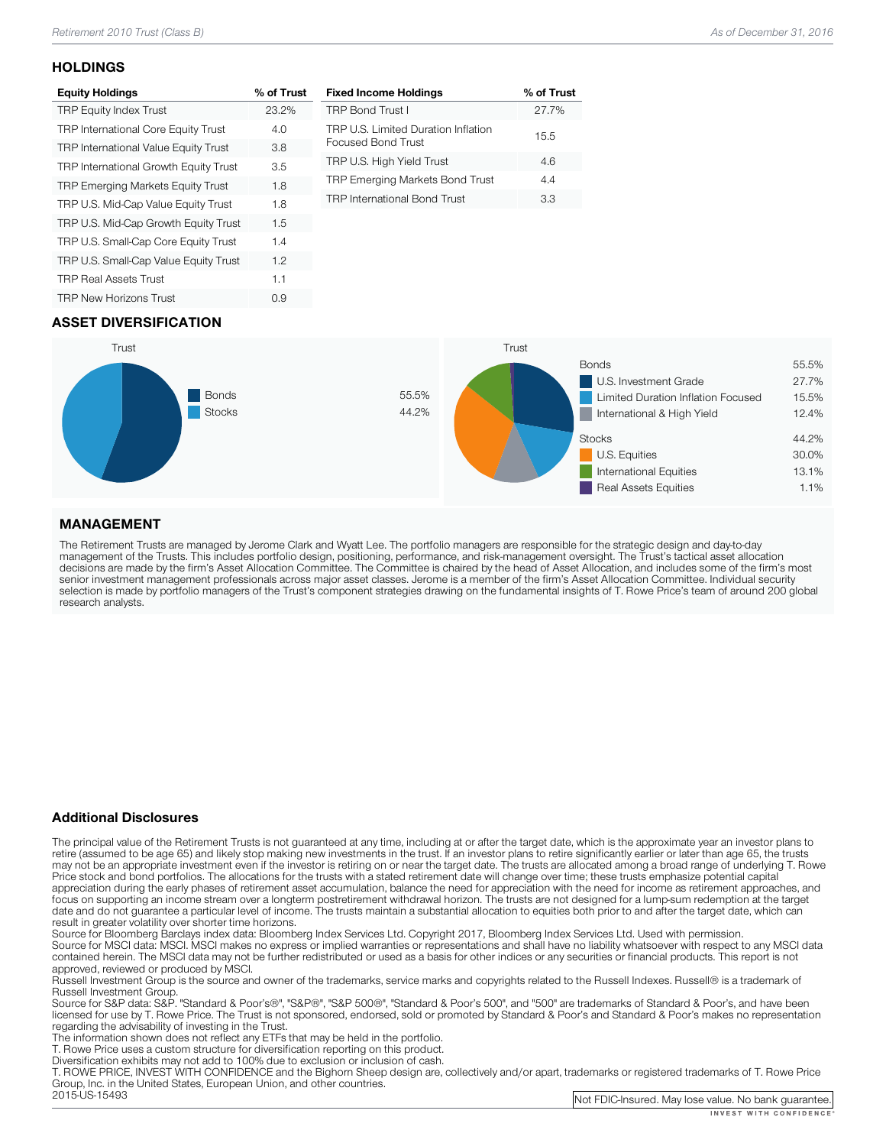#### **HOLDINGS**

| <b>Equity Holdings</b>                      | % of Trust |
|---------------------------------------------|------------|
| <b>TRP Equity Index Trust</b>               | 23.2%      |
| <b>TRP International Core Equity Trust</b>  | 4.0        |
| <b>TRP International Value Equity Trust</b> | 3.8        |
| TRP International Growth Equity Trust       | 3.5        |
| <b>TRP Emerging Markets Equity Trust</b>    | 1.8        |
| TRP U.S. Mid-Cap Value Equity Trust         | 1.8        |
| TRP U.S. Mid-Cap Growth Equity Trust        | 1.5        |
| TRP U.S. Small-Cap Core Equity Trust        | 1.4        |
| TRP U.S. Small-Cap Value Equity Trust       | 1.2        |
| <b>TRP Real Assets Trust</b>                | 1.1        |
| <b>TRP New Horizons Trust</b>               | 0.9        |
|                                             |            |

| <b>Fixed Income Holdings</b>                              | % of Trust |
|-----------------------------------------------------------|------------|
| <b>TRP Bond Trust I</b>                                   | 27.7%      |
| TRP U.S. Limited Duration Inflation<br>Focused Bond Trust | 15.5       |
| TRP U.S. High Yield Trust                                 | 4.6        |
| TRP Emerging Markets Bond Trust                           | 44         |
| <b>TRP International Bond Trust</b>                       | 33         |

## ASSET DIVERSIFICATION



### MANAGEMENT

The Retirement Trusts are managed by Jerome Clark and Wyatt Lee. The portfolio managers are responsible for the strategic design and day-to-day<br>management of the Trusts. This includes portfolio design, positioning, perform research analysts.

#### Additional Disclosures

The principal value of the Retirement Trusts is not guaranteed at any time, including at or after the target date, which is the approximate year an investor plans to retire (assumed to be age 65) and likely stop making new may not be an appropriate investment even if the investor is retiring on or near the target date. The trusts are allocated among a broad range of underlying T. Rowe<br>Price stock and bond portfolios. The allocations for the focus on supporting an income stream over a longterm postretirement withdrawal horizon. The trusts are not designed for a lump-sum redemption at the target date and do not guarantee a particular level of income. The trusts maintain a substantial allocation to equities both prior to and after the target date, which can result in greater volatility over shorter time horizons.

Source for Bloomberg Barclays index data: Bloomberg Index Services Ltd. Copyright 2017, Bloomberg Index Services Ltd. Used with permission.<br>Source for MSCI data: MSCI. MSCI makes no express or implied warranties or represe

approved, reviewed or produced by MSCI.<br>Russell Investment Group is the source and owner of the trademarks, service marks and copyrights related to the Russell Indexes. Russell® is a trademark of<br>Russell Investment Group.

Source for S&P data: S&P. "Standard & Poor's®", "S&P®", "S&P 500®", "Standard & Poor's 500", and "500" are trademarks of Standard & Poor's, and have been licensed for use by T. Rowe Price. The Trust is not sponsored, endorsed, sold or promoted by Standard & Poor's and Standard & Poor's makes no representation<br>regarding the advisability of investing in the Trust.

The information shown does not reflect any ETFs that may be held in the portfolio.<br>T. Rowe Price uses a custom structure for diversification reporting on this product.<br>Diversification exhibits may not add to 100% due to ex